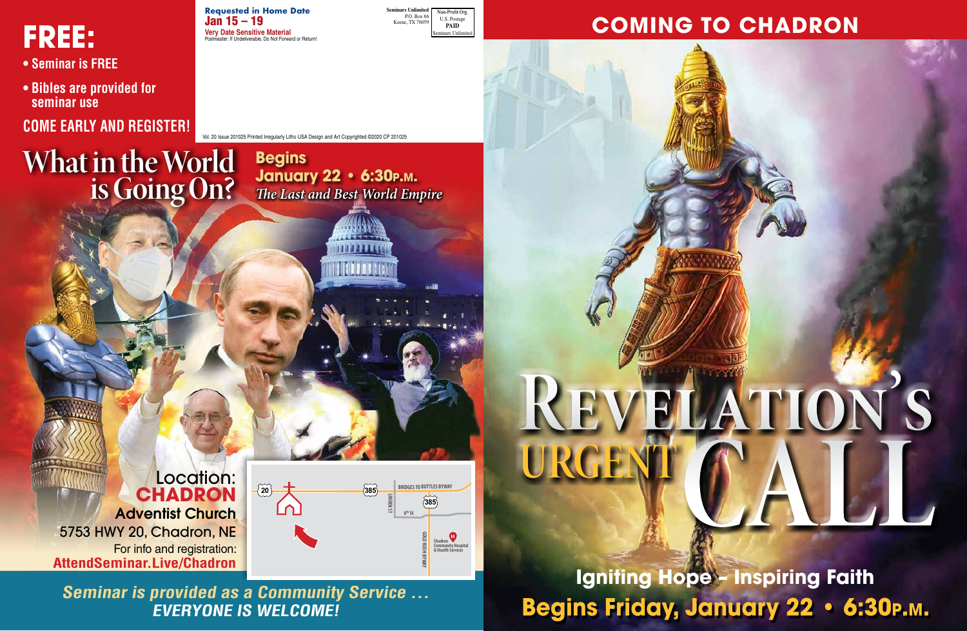Vol. 20 Issue 201025 Printed Irregularly Litho USA Design and Art Copyrighted ©2020 CP 201025

**Requested in Home Date** Jan 15 – 19 **Very Date Sensitive Material** r: If Undeliverable, Do Not Forward or Return **Seminars Unlimited** Non-Profit Org P.O. Box 66 U.S. Postage Keene, TX 76059 **PAID** e<br>Inlin

# **FREE:**

- **Seminar is FREE**
- **Bibles are provided for seminar use**

## **COME EARLY AND REGISTER!**

**What in the World**

**is Going On?**

**Igniting Hope – Inspiring Faith Begins Friday, January 22 • 6:30p.m.**



## **COMING TO CHADRON**

**Begins**

**January 22 • 6:30p.m.**

*The Last and Best World Empire*

**Seminar is provided as a Community Service … EVERYONE IS WELCOME!**

## Location: **CHADRON**

Adventist Church 5753 HWY 20, Chadron, NE For info and registration: **AttendSeminar.Live/Chadron**